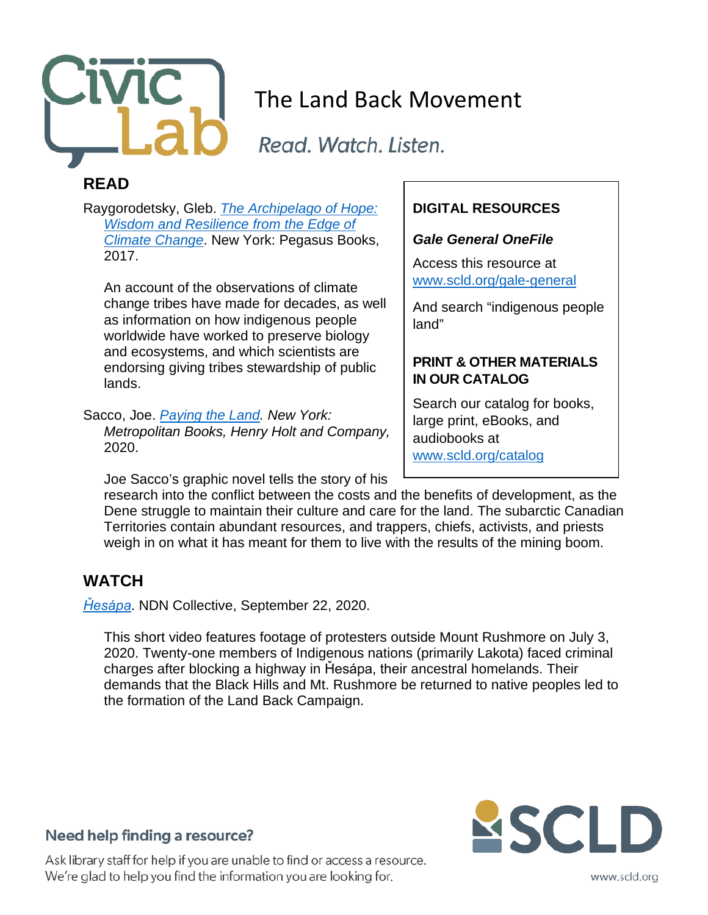

# The Land Back Movement

Read, Watch, Listen.

### **READ**

Raygorodetsky, Gleb. *[The Archipelago of Hope:](https://scld.ent.sirsi.net/client/en_US/default/search/detailnonmodal/ent:$002f$002fSD_ILS$002f0$002fSD_ILS:770392/ada?qu=indigenous+people+land&rw=24&d=ent%3A%2F%2FSD_ILS%2F0%2FSD_ILS%3A770392%7EILS%7E29&isd=true&h=8) [Wisdom and Resilience from the Edge of](https://scld.ent.sirsi.net/client/en_US/default/search/detailnonmodal/ent:$002f$002fSD_ILS$002f0$002fSD_ILS:770392/ada?qu=indigenous+people+land&rw=24&d=ent%3A%2F%2FSD_ILS%2F0%2FSD_ILS%3A770392%7EILS%7E29&isd=true&h=8)  [Climate Change](https://scld.ent.sirsi.net/client/en_US/default/search/detailnonmodal/ent:$002f$002fSD_ILS$002f0$002fSD_ILS:770392/ada?qu=indigenous+people+land&rw=24&d=ent%3A%2F%2FSD_ILS%2F0%2FSD_ILS%3A770392%7EILS%7E29&isd=true&h=8)*. New York: Pegasus Books, 2017.

An account of the observations of climate change tribes have made for decades, as well as information on how indigenous people worldwide have worked to preserve biology and ecosystems, and which scientists are endorsing giving tribes stewardship of public lands.

Sacco, Joe. *[Paying the Land.](https://scld.ent.sirsi.net/client/en_US/default/search/detailnonmodal/ent:$002f$002fSD_ILS$002f0$002fSD_ILS:743986/ada?qu=indigenous+people+land&rw=12&d=ent%3A%2F%2FSD_ILS%2F0%2FSD_ILS%3A743986%7EILS%7E12&isd=true&h=8) New York: Metropolitan Books, Henry Holt and Company,* 2020.

#### **DIGITAL RESOURCES**

#### *Gale General OneFile*

Access this resource at [www.scld.org/gale-general](http://www.scld.org/gale-general)

And search "indigenous people land"

#### **PRINT & OTHER MATERIALS IN OUR CATALOG**

Search our catalog for books, large print, eBooks, and audiobooks at [www.scld.org/catalog](http://www.scld.org/catalog)

Joe Sacco's graphic novel tells the story of his

research into the conflict between the costs and the benefits of development, as the Dene struggle to maintain their culture and care for the land. The subarctic Canadian Territories contain abundant resources, and trappers, chiefs, activists, and priests weigh in on what it has meant for them to live with the results of the mining boom.

## **WATCH**

*[Ȟesápa](https://www.youtube.com/watch?v=HCl6TS5zBIw)*. NDN Collective, September 22, 2020.

This short video features footage of protesters outside Mount Rushmore on July 3, 2020. Twenty-one members of Indigenous nations (primarily Lakota) faced criminal charges after blocking a highway in Ȟesápa, their ancestral homelands. Their demands that the Black Hills and Mt. Rushmore be returned to native peoples led to the formation of the Land Back Campaign.

# SCLD

#### Need help finding a resource?

Ask library staff for help if you are unable to find or access a resource. We're glad to help you find the information you are looking for.

www.scld.org